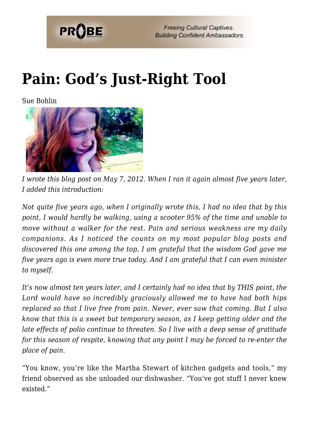

**Freeing Cultural Captives. Building Confident Ambassadors.** 

## **[Pain: God's Just-Right Tool](https://probe.org/pain-gods-just-right-tool/)**

Sue Bohlin



*I wrote this blog post on May 7, 2012. When I ran it again almost five years later, I added this introduction:*

*Not quite five years ago, when I originally wrote this, I had no idea that by this point, I would hardly be walking, using a scooter 95% of the time and unable to move without a walker for the rest. Pain and serious weakness are my daily companions. As I noticed the counts on my most popular blog posts and discovered this one among the top, I am grateful that the wisdom God gave me five years ago is even more true today. And I am grateful that I can even minister to myself.*

*It's now almost ten years later, and I certainly had no idea that by THIS point, the Lord would have so incredibly graciously allowed me to have had both hips replaced so that I live free from pain. Never, ever saw that coming. But I also know that this is a sweet but temporary season, as I keep getting older and the late effects of polio continue to threaten. So I live with a deep sense of gratitude for this season of respite, knowing that any point I may be forced to re-enter the place of pain.*

"You know, you're like the Martha Stewart of kitchen gadgets and tools," my friend observed as she unloaded our dishwasher. "You've got stuff I never knew existed."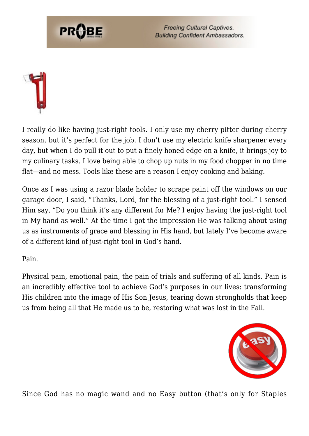

**Freeing Cultural Captives. Building Confident Ambassadors.** 



I really do like having just-right tools. I only use my cherry pitter during cherry season, but it's perfect for the job. I don't use my electric knife sharpener every day, but when I do pull it out to put a finely honed edge on a knife, it brings joy to my culinary tasks. I love being able to chop up nuts in my food chopper in no time flat—and no mess. Tools like these are a reason I enjoy cooking and baking.

Once as I was using a razor blade holder to scrape paint off the windows on our garage door, I said, "Thanks, Lord, for the blessing of a just-right tool." I sensed Him say, "Do you think it's any different for Me? I enjoy having the just-right tool in My hand as well." At the time I got the impression He was talking about using us as instruments of grace and blessing in His hand, but lately I've become aware of a different kind of just-right tool in God's hand.

Pain.

Physical pain, emotional pain, the pain of trials and suffering of all kinds. Pain is an incredibly effective tool to achieve God's purposes in our lives: transforming His children into the image of His Son Jesus, tearing down strongholds that keep us from being all that He made us to be, restoring what was lost in the Fall.



Since God has no magic wand and no Easy button (that's only for Staples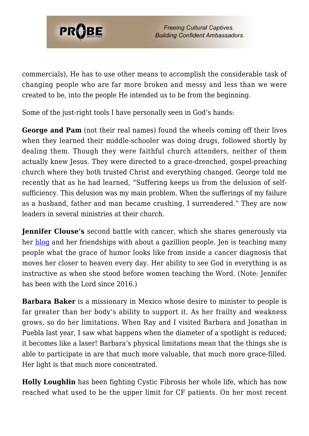

commercials), He has to use other means to accomplish the considerable task of changing people who are far more broken and messy and less than we were created to be, into the people He intended us to be from the beginning.

Some of the just-right tools I have personally seen in God's hands:

**George and Pam** (not their real names) found the wheels coming off their lives when they learned their middle-schooler was doing drugs, followed shortly by dealing them. Though they were faithful church attenders, neither of them actually knew Jesus. They were directed to a grace-drenched, gospel-preaching church where they both trusted Christ and everything changed. George told me recently that as he had learned, "Suffering keeps us from the delusion of selfsufficiency. This delusion was my main problem. When the sufferings of my failure as a husband, father and man became crushing, I surrendered." They are now leaders in several ministries at their church.

**Jennifer Clouse's** second battle with cancer, which she shares generously via her [blog](https://theclousefamily.wordpress.com) and her friendships with about a gazillion people. Jen is teaching many people what the grace of humor looks like from inside a cancer diagnosis that moves her closer to heaven every day. Her ability to see God in everything is as instructive as when she stood before women teaching the Word. (Note: Jennifer has been with the Lord since 2016.)

**Barbara Baker** is a missionary in Mexico whose desire to minister to people is far greater than her body's ability to support it. As her frailty and weakness grows, so do her limitations. When Ray and I visited Barbara and Jonathan in Puebla last year, I saw what happens when the diameter of a spotlight is reduced; it becomes like a laser! Barbara's physical limitations mean that the things she *is* able to participate in are that much more valuable, that much more grace-filled. Her light is that much more concentrated.

**Holly Loughlin** has been fighting Cystic Fibrosis her whole life, which has now reached what used to be the upper limit for CF patients. On her most recent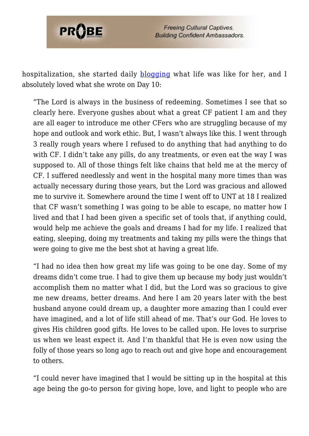

hospitalization, she started daily [blogging](https://www.caringbridge.org/visit/hollyloughlin) what life was like for her, and I absolutely loved what she wrote on Day 10:

"The Lord is always in the business of redeeming. Sometimes I see that so clearly here. Everyone gushes about what a great CF patient I am and they are all eager to introduce me other CFers who are struggling because of my hope and outlook and work ethic. But, I wasn't always like this. I went through 3 really rough years where I refused to do anything that had anything to do with CF. I didn't take any pills, do any treatments, or even eat the way I was supposed to. All of those things felt like chains that held me at the mercy of CF. I suffered needlessly and went in the hospital many more times than was actually necessary during those years, but the Lord was gracious and allowed me to survive it. Somewhere around the time I went off to UNT at 18 I realized that CF wasn't something I was going to be able to escape, no matter how I lived and that I had been given a specific set of tools that, if anything could, would help me achieve the goals and dreams I had for my life. I realized that eating, sleeping, doing my treatments and taking my pills were the things that were going to give me the best shot at having a great life.

"I had no idea then how great my life was going to be one day. Some of my dreams didn't come true. I had to give them up because my body just wouldn't accomplish them no matter what I did, but the Lord was so gracious to give me new dreams, better dreams. And here I am 20 years later with the best husband anyone could dream up, a daughter more amazing than I could ever have imagined, and a lot of life still ahead of me. That's our God. He loves to gives His children good gifts. He loves to be called upon. He loves to surprise us when we least expect it. And I'm thankful that He is even now using the folly of those years so long ago to reach out and give hope and encouragement to others.

"I could never have imagined that I would be sitting up in the hospital at this age being the go-to person for giving hope, love, and light to people who are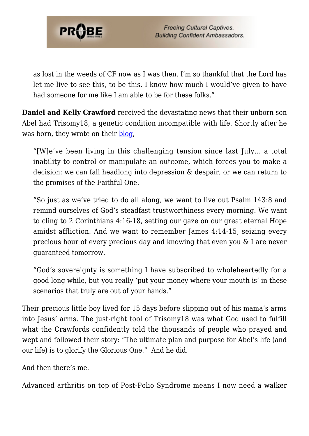

as lost in the weeds of CF now as I was then. I'm so thankful that the Lord has let me live to see this, to be this. I know how much I would've given to have had someone for me like I am able to be for these folks."

**Daniel and Kelly Crawford** received the devastating news that their unborn son Abel had Trisomy18, a genetic condition incompatible with life. Shortly after he was born, they wrote on their [blog,](https://abelpaulcrawford.wordpress.com)

"[W]e've been living in this challenging tension since last July… a total inability to control or manipulate an outcome, which forces you to make a decision: we can fall headlong into depression & despair, or we can return to the promises of the Faithful One.

"So just as we've tried to do all along, we want to live out Psalm 143:8 and remind ourselves of God's steadfast trustworthiness every morning. We want to cling to 2 Corinthians 4:16-18, setting our gaze on our great eternal Hope amidst affliction. And we want to remember James 4:14-15, seizing every precious hour of every precious day and knowing that even you & I are never guaranteed tomorrow.

"God's sovereignty is something I have subscribed to wholeheartedly for a good long while, but you really 'put your money where your mouth is' in these scenarios that truly are out of your hands."

Their precious little boy lived for 15 days before slipping out of his mama's arms into Jesus' arms. The just-right tool of Trisomy18 was what God used to fulfill what the Crawfords confidently told the thousands of people who prayed and wept and followed their story: "The ultimate plan and purpose for Abel's life (and our life) is to glorify the Glorious One." And he did.

And then there's me.

Advanced arthritis on top of Post-Polio Syndrome means I now need a walker